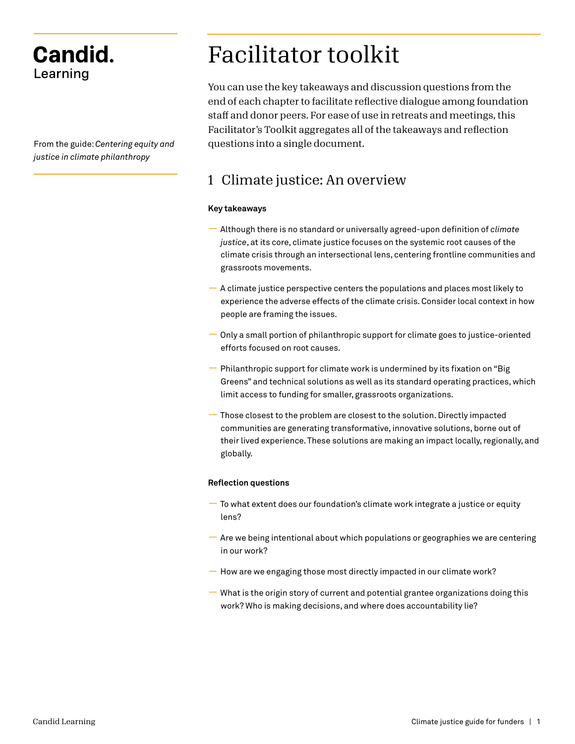## **Candid.** Learning

From the guide: *Centering equity and justice in climate philanthropy*

# Facilitator toolkit

You can use the key takeaways and discussion questions from the end of each chapter to facilitate reflective dialogue among foundation staff and donor peers. For ease of use in retreats and meetings, this Facilitator's Toolkit aggregates all of the takeaways and reflection questions into a single document.

### 1 Climate justice: An overview

### **Key takeaways**

- Although there is no standard or universally agreed-upon definition of *climate justice*, at its core, climate justice focuses on the systemic root causes of the climate crisis through an intersectional lens, centering frontline communities and grassroots movements.
- A climate justice perspective centers the populations and places most likely to experience the adverse effects of the climate crisis. Consider local context in how people are framing the issues.
- Only a small portion of philanthropic support for climate goes to justice-oriented efforts focused on root causes.
- Philanthropic support for climate work is undermined by its fixation on "Big Greens" and technical solutions as well as its standard operating practices, which limit access to funding for smaller, grassroots organizations.
- Those closest to the problem are closest to the solution. Directly impacted communities are generating transformative, innovative solutions, borne out of their lived experience. These solutions are making an impact locally, regionally, and globally.

### **Reflection questions**

- To what extent does our foundation's climate work integrate a justice or equity lens?
- Are we being intentional about which populations or geographies we are centering in our work?
- How are we engaging those most directly impacted in our climate work?
- What is the origin story of current and potential grantee organizations doing this work? Who is making decisions, and where does accountability lie?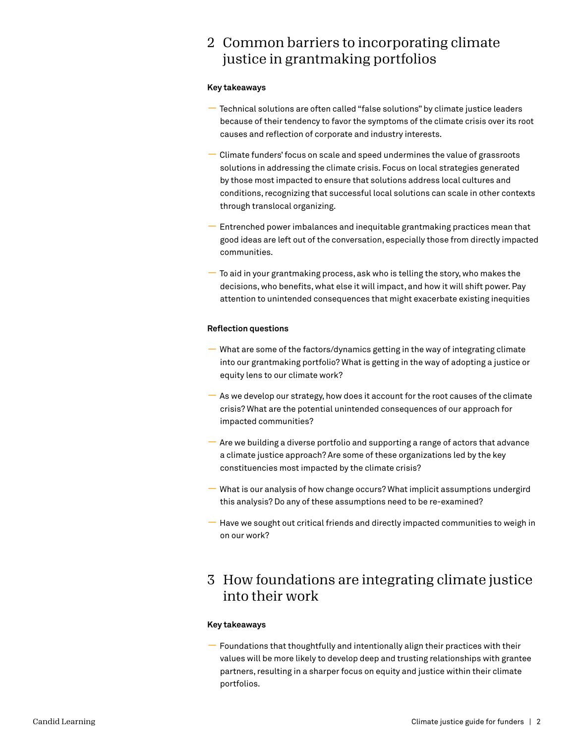### 2 Common barriers to incorporating climate justice in grantmaking portfolios

### **Key takeaways**

- Technical solutions are often called "false solutions" by climate justice leaders because of their tendency to favor the symptoms of the climate crisis over its root causes and reflection of corporate and industry interests.
- Climate funders' focus on scale and speed undermines the value of grassroots solutions in addressing the climate crisis. Focus on local strategies generated by those most impacted to ensure that solutions address local cultures and conditions, recognizing that successful local solutions can scale in other contexts through translocal organizing.
- Entrenched power imbalances and inequitable grantmaking practices mean that good ideas are left out of the conversation, especially those from directly impacted communities.
- To aid in your grantmaking process, ask who is telling the story, who makes the decisions, who benefits, what else it will impact, and how it will shift power. Pay attention to unintended consequences that might exacerbate existing inequities

### **Reflection questions**

- What are some of the factors/dynamics getting in the way of integrating climate into our grantmaking portfolio? What is getting in the way of adopting a justice or equity lens to our climate work?
- As we develop our strategy, how does it account for the root causes of the climate crisis? What are the potential unintended consequences of our approach for impacted communities?
- Are we building a diverse portfolio and supporting a range of actors that advance a climate justice approach? Are some of these organizations led by the key constituencies most impacted by the climate crisis?
- What is our analysis of how change occurs? What implicit assumptions undergird this analysis? Do any of these assumptions need to be re-examined?
- Have we sought out critical friends and directly impacted communities to weigh in on our work?

### 3 How foundations are integrating climate justice into their work

### **Key takeaways**

**—** Foundations that thoughtfully and intentionally align their practices with their values will be more likely to develop deep and trusting relationships with grantee partners, resulting in a sharper focus on equity and justice within their climate portfolios.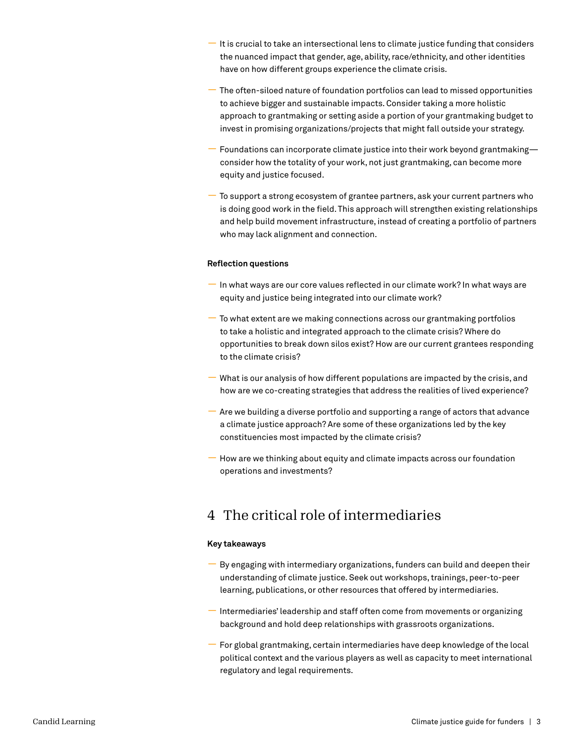- It is crucial to take an intersectional lens to climate justice funding that considers the nuanced impact that gender, age, ability, race/ethnicity, and other identities have on how different groups experience the climate crisis.
- The often-siloed nature of foundation portfolios can lead to missed opportunities to achieve bigger and sustainable impacts. Consider taking a more holistic approach to grantmaking or setting aside a portion of your grantmaking budget to invest in promising organizations/projects that might fall outside your strategy.
- Foundations can incorporate climate justice into their work beyond grantmaking consider how the totality of your work, not just grantmaking, can become more equity and justice focused.
- To support a strong ecosystem of grantee partners, ask your current partners who is doing good work in the field. This approach will strengthen existing relationships and help build movement infrastructure, instead of creating a portfolio of partners who may lack alignment and connection.

#### **Reflection questions**

- In what ways are our core values reflected in our climate work? In what ways are equity and justice being integrated into our climate work?
- To what extent are we making connections across our grantmaking portfolios to take a holistic and integrated approach to the climate crisis? Where do opportunities to break down silos exist? How are our current grantees responding to the climate crisis?
- What is our analysis of how different populations are impacted by the crisis, and how are we co-creating strategies that address the realities of lived experience?
- Are we building a diverse portfolio and supporting a range of actors that advance a climate justice approach? Are some of these organizations led by the key constituencies most impacted by the climate crisis?
- How are we thinking about equity and climate impacts across our foundation operations and investments?

### 4 The critical role of intermediaries

#### **Key takeaways**

- By engaging with intermediary organizations, funders can build and deepen their understanding of climate justice. Seek out workshops, trainings, peer-to-peer learning, publications, or other resources that offered by intermediaries.
- Intermediaries' leadership and staff often come from movements or organizing background and hold deep relationships with grassroots organizations.
- For global grantmaking, certain intermediaries have deep knowledge of the local political context and the various players as well as capacity to meet international regulatory and legal requirements.